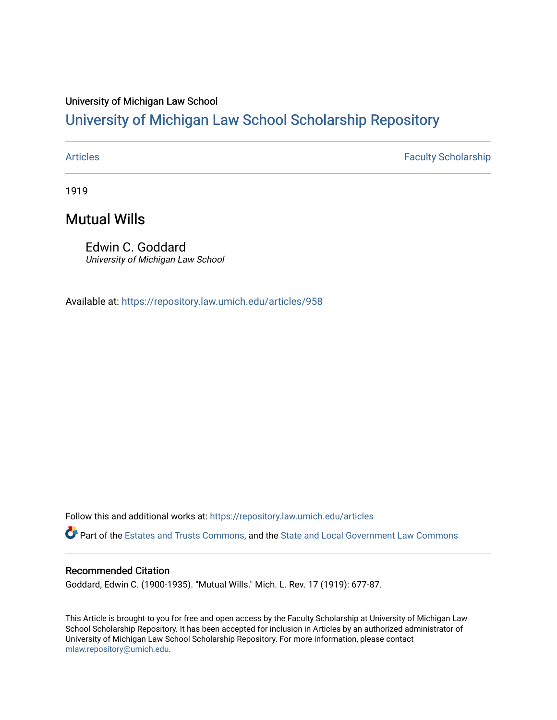## University of Michigan Law School

## [University of Michigan Law School Scholarship Repository](https://repository.law.umich.edu/)

[Articles](https://repository.law.umich.edu/articles) **Faculty Scholarship** 

1919

# Mutual Wills

Edwin C. Goddard University of Michigan Law School

Available at: <https://repository.law.umich.edu/articles/958>

Follow this and additional works at: [https://repository.law.umich.edu/articles](https://repository.law.umich.edu/articles?utm_source=repository.law.umich.edu%2Farticles%2F958&utm_medium=PDF&utm_campaign=PDFCoverPages) 

Part of the [Estates and Trusts Commons,](http://network.bepress.com/hgg/discipline/906?utm_source=repository.law.umich.edu%2Farticles%2F958&utm_medium=PDF&utm_campaign=PDFCoverPages) and the [State and Local Government Law Commons](http://network.bepress.com/hgg/discipline/879?utm_source=repository.law.umich.edu%2Farticles%2F958&utm_medium=PDF&utm_campaign=PDFCoverPages) 

### Recommended Citation

Goddard, Edwin C. (1900-1935). "Mutual Wills." Mich. L. Rev. 17 (1919): 677-87.

This Article is brought to you for free and open access by the Faculty Scholarship at University of Michigan Law School Scholarship Repository. It has been accepted for inclusion in Articles by an authorized administrator of University of Michigan Law School Scholarship Repository. For more information, please contact [mlaw.repository@umich.edu.](mailto:mlaw.repository@umich.edu)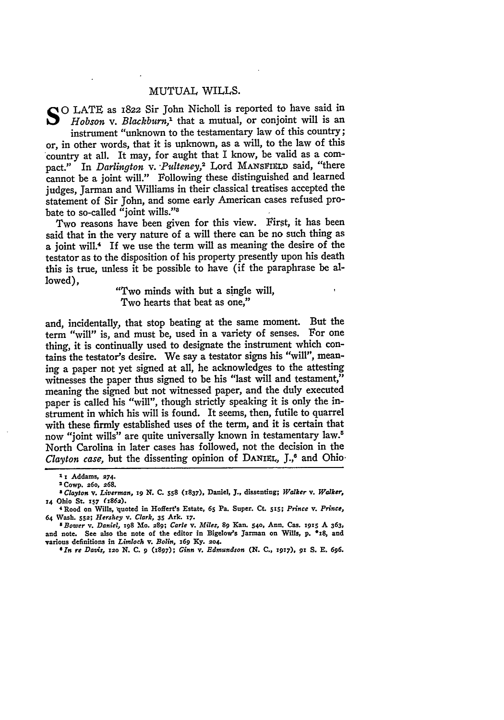#### MUTUAL WILLS.

*SO* LATE as 1822 Sir John Nicholl is reported to have said in *Hobson v. Blackburn,"* that a mutual, or conjoint will is an

instrument "unknown to the testamentary law of this country; or, in other words, that it is upknown, as a will, to the law of this country at all. It may, for aught that I know, be valid as a compact." In *Darlington v. Pulteney*,<sup>2</sup> Lord MANSFIELD said, "there cannot be a joint will." Following these distinguished and learned judges, Jarman and Williams in their classical treatises accepted the statement of Sir John, and some early American cases refused probate to so-called "joint wills."8

Two reasons have been given for this view. First, it has been said that in the very nature of a will there can be no such thing as a joint will.4 If we use the term will as meaning the desire of the testator as to the disposition of his property presently upon his death this is true, unless it be possible to have (if the paraphrase be allowed),

> "Two minds with but a single will, Two hearts that beat as one,"

and, incidentally., that stop beating at the same moment. But the term "will" is, and must be, used in a variety of senses. For one thing, it is continually used to designate the instrument which contains the testator's desire. We say a testator signs his "will", meaning a paper not yet signed at all, he acknowledges to the attesting witnesses the paper thus signed to be his "last will and testament," meaning the signed but not witnessed paper, and the duly executed paper is called his "will", though strictly speaking it is only the instrument in which his will is found. It seems, then, futile to quarrel with these firmly established uses of the term, and it is certain that now "joint wills" are quite universally known in testamentary law.<sup>5</sup> North Carolina in later cases has followed, not the decision in the *Clayton case,* but the dissenting opinion of DANIXI,, **J.,6** and Ohio-

**<sup>&#</sup>x27;** *x* Addams, **274.**

Cowp. **26o, 268.**

*<sup>2</sup> Clayton v. Liverman,* **i9** *N.* **C. S58 (1837), Daniel, 3., dissenting;** *Walker v. Walker, 14* **Ohio St. 157 (x86a).**

**<sup>4</sup>Rood on wills, quoted in Hoffert's Estate, 65 Pa. Super. Ct.** '5s; *Prince v. Prince,* **64 Wash. 55a;** *Hershey v. Clark,* **35 Ark. x7.**

*<sup>&#</sup>x27;Bower v. Daniel,* **198 Io. 289; Carle** *v. Miles,* **89 Kan. 540, Ann.** Cas. **19x5 A 363, and note. See also the note of the editor in Bigelow's Jarman on Wills, p.** \*18, **and various definitions in** *Limloch v. Bolin, 169* **Ky. ao4.**

*<sup>\$</sup>In re Dazis,* **x2o N. C. 9 (x897);** *Cinn v. Edmundson* **(N. C.,** *1917), g S.* **E.** *696.*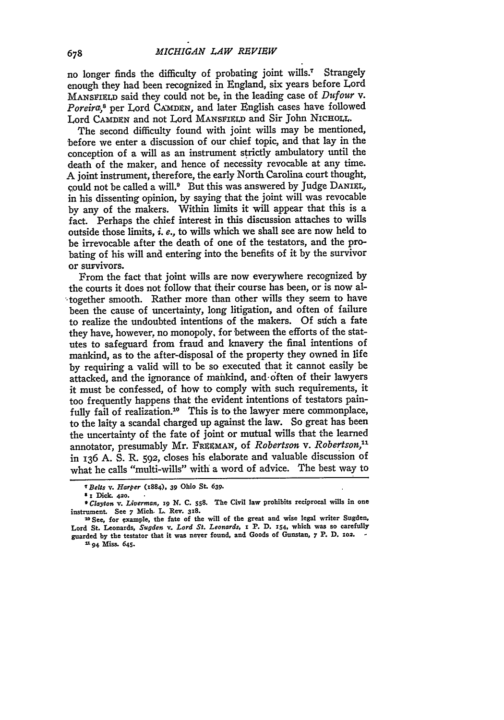no longer finds the difficulty of probating joint wills.7 Strangely enough they had been recognized in England, six years before Lord MANSEIELD said they could not be, in the leading case of *Dufour v.* Poreira,<sup>8</sup> per Lord CAMDEN, and later English cases have followed Lord CAMDEN and not Lord MANSFIELD and Sir John Nicholl.

The second difficulty found with joint wills may be mentioned, before we enter a discussion of our chief topic, and that lay in the conception of a will as an instrument strictly ambulatory until the death of the maker, and hence of necessity revocable at any time. A joint instrument, therefore, the early North Carolina court thought, could not be called a will.9 But this was answered by Judge **DANIZI,** in his dissenting opinion, by saying that the joint will was revocable by any of the makers. Within limits it will appear that this is a fact. Perhaps the chief interest in this discussion attaches to wills outside those limits, *i. e.,* to wills which we shall see are now held to be irrevocable after the death of one of the testators, and the probating of his will and entering into the benefits of it by the survivor or survivors.

From the fact that joint wills are now everywhere recognized by the courts it does not follow that their course has been, or is now al together smooth. Rather more than other wills they seem to have been the cause of uncertainty, long litigation, and often of failure to realize the undoubted intentions of the makers. Of stich a fate they have, however., no monopoly, for between the efforts of the statutes to safeguard from fraud and knavery the final intentions of mafikind, as to the after-disposal of the property they owned in life by requiring a valid will to be so executed that it cannot easily be attacked, and the ignorance of mankind, and often of their lawyers it must be confessed, of how to comply with such requirements, it too frequently happens that the evident intentions of testators painfully fail of realization.<sup>10</sup> This is to the lawyer mere commonplace, to the laity a scandal charged up against the law. So great has been the uncertainty of the fate of joint or mutual wills that the learned annotator, presumably Mr. FREEMAN, of *Robertson* v. *Robertson*,<sup>11</sup> in 136 A. S. R. **592,** closes his elaborate and valuable discussion of what he calls "multi-wills" with a word of advice. The best way to

*<sup>&#</sup>x27;Belts v. Harper* **(1884), 39 Ohio St. 639.**

**s 1 Dick. 4ao.**

*<sup>\*</sup> Clayton v. Liverman, i9 N.* **C. S58. The** Civil **law prohibits reciprocal wills in one** instrument. **See 7 Mich. L. Rev. 3x8.**

<sup>&</sup>lt;sup>10</sup> See, for example, the fate of the will of the great and wise legal writer Sugden, **Lord St. Leonards,** *Sugden v. Lord St. Leonards,* **i P. D. 154, which was so carefully guarded by the testator that it was never found, and Goods of Gunstan,** *7* **P. D. zo2. -**

**<sup>1194</sup> Miss. 645.**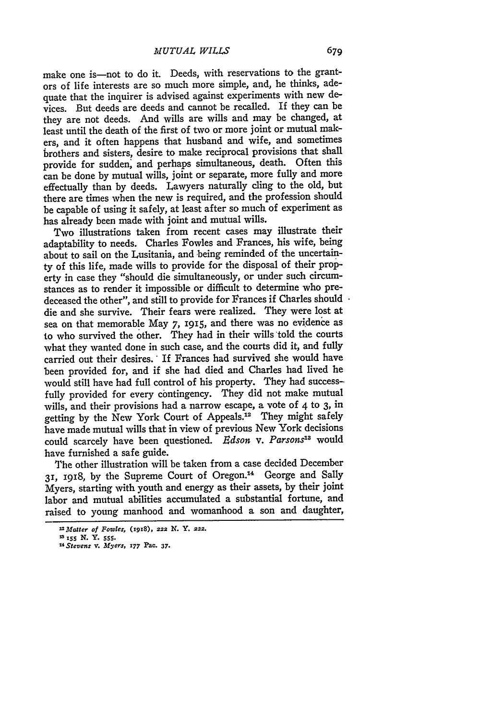make one is-not to do it. Deeds, with reservations to the grantors of life interests are so much more simple, and, he thinks, adequate that the inquirer is advised against experiments with new devices. But deeds are deeds and cannot be recalled. If they can be they are not deeds. And wills are wills and may be changed, at least until the death of the first of two or more joint or mutual makers, and it often happens that husband and wife, and sometimes brothers and sisters, desire to make reciprocal provisions that shall provide for sudden, and perhaps simultaneous, death. Often this can be done by mutual wills, joint or separate, more fully and more effectually than by deeds. Lawyers naturally cling to the old, but there are times when the new is required, and the profession should be capable of using it safely, at least after so much of experiment as has already been made with joint and mutual wills.

Two illustrations taken from recent cases may illustrate their adaptability to needs. Charles Fowles and Frances, his wife, being about to sail on the Lusitania, and being reminded of the uncertainty of this life, made wills to provide for the disposal of their property in case they "should die simultaneously, or under such circumstances as to render it impossible or difficult to determine who predeceased the other", and still to provide for Frances if Charles should die and she survive. Their fears were realized. They were lost at sea on that memorable May *7,* **1915,** and there was no evidence as to who survived the other. They had in their wills 'told the courts what they wanted done in such case, and the courts did it, and fully carried out their desires.' If Frances had survived she would have been provided for, and if she had died and Charles had lived he would still have had full control of his property. They had successfully provided for every contingency. They did not make mutual wills, and their provisions had a narrow escape, a vote **of** 4 to 3, in getting by the New York Court of Appeals.<sup>12</sup> They might safely have made mutual wills that in view of previous New York decisions could scarcely have been questioned. *Edson v. Parsons"3* would have furnished a safe guide.

The other illustration will be taken from a case decided December **31, 1918,** by the Supreme Court of Oregon. 14 George and Sally Myers, starting with youth and energy as their assets, by their joint labor and mutual abilities accumulated a substantial fortune, and raised to young manhood and womanhood a son and daughter,

*<sup>12</sup>oMatter of Fowles, (1918),* **222** *N.* **Y. 2:22.**

**<sup>1</sup>** *ss* **N.** Y. *ssS.*

*<sup>14</sup>* **Stevens** *v. Myers, 177* **Pa..** *37.*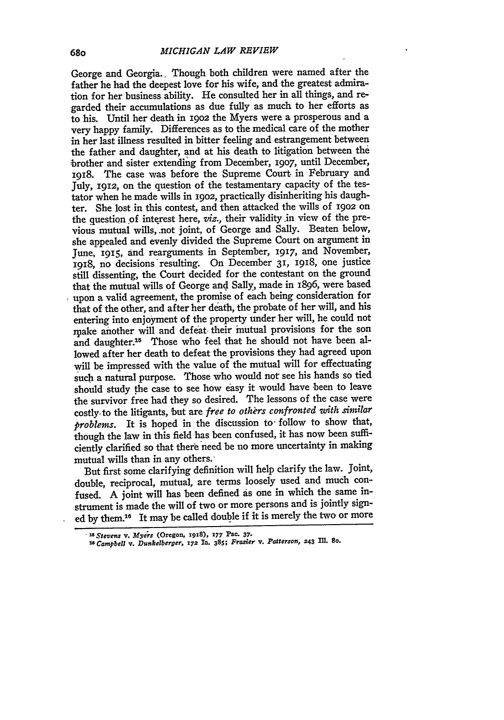George and Georgia.. Though both children were named after the father he had the deepest love for his wife, and the greatest admiration for her business ability. He consulted her in all things, and regarded their accumulations as due fully as much to her efforts as to his. Until her death in **19o2** the Myers were a prosperous and a very happy family. Differences as to the medical care of the mother in her last illness resulted in bitter feeling and estrangement between the father and daughter, and at his death to litigation between **the** brother and sister extending from December, **19o7,** until December, 1918. The case was before the Supreme Court in February and July, 1912, on the question of the testamentary capacity of the testator when he made wills in **19o2,** practically disinheriting his daughter. She lost in this contest, and then attacked the wills of **19o2** on the question of interest here, *viz.*, their validity in view of the previous mutual wills,.not joint, of George and Sally. Beaten below, she appealed and evenly divided the Supreme Court on argument in June, **1915,** and rearguments in September, **1917,** and November, 1918, no decisions'resulting. On December **31, 1918,** one justice still dissenting, the Court decided for the contestant on the ground that the mutual wills of George and Sally, made in 1896, were based upon a valid agreement, the promise of each being consideration for that of the other, and after her death, the probate of her will, and his entering into enjoyment of the property under her will, he could not rpake another will and defeat. their mutual provisions for the son and daughter.<sup>15</sup> Those who feel that he should not have been allowed after her death to defeat the provisions they had agreed upon will be impressed with the value of the mutual will for effectuating such a natural purpose. Those who would not see his hands so tied should study the case to see how easy it would have been to leave the survivor free had they so desired. The lessons of the case were costly.to the litigants, 'but are *free to oth'rs confronted ulith similar problems.* It is hoped in the discussion to- follow to show that, though the law in this field has been confused, it has now been sufficiently clarified so that there'need be no more uncertainty in making mutual wills than in any others."

But first some clarifying definition will help clarify the law. Joint, double, reciprocal, mutual, are terms loosely used and much confused. A joint will has been defined **is** one in which the same instrument is made the will of two or more persons and is jointly signed by them.<sup>16</sup> It may be called double if it is merely the two or more

*<sup>&</sup>quot;5 Stevens v. Mye'rs* **(Oregon, xgx8), x77 Paa. 37-**

**<sup>16</sup>** *Campbell v.* **Dunkelberger, x72 Ia. 385;** *Frazier v. Patterson,* **243 Il. 80.**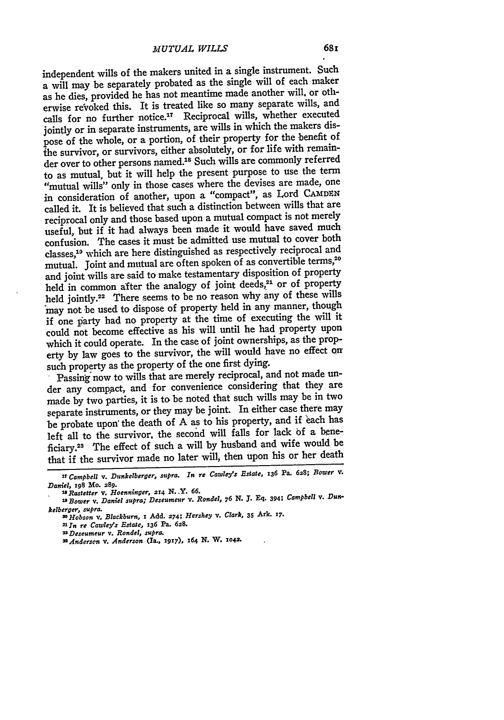681

independent wills of the makers united in a single instrument. Such a will may be separately probated as the single will of each maker as he dies, provided he has not meantime made another will. or otherwise revoked this. It is treated like so many separate wills, and calls for no further notice.17 Reciprocal wills, whether executed jointly or in separate instruments, are wills in which the makers dispose of the whole, or a portion, of their property for the benefit of ihe survivor, or survivors, either absolutely, or for life with remainder over to other persons named.<sup>18</sup> Such wills are commonly referred to as mutual, but it will help the present purpose to use the term "mutual wills" only in those cases where the devises are made, one in consideration of another, upon a "compact", as Lord CAMDEN called it. It is believed that such a distinction between wills that are reciprocal only and those based upon a mutual compact is not merely useful, but if it had always been made it would have saved much confusion. The cases it must be admitted use mutual to cover both classes,10 which are here distinguished as respectively reciprocal and mutual. Joint and mutual are often spoken of as convertible terms,<sup>20</sup> and joint wills are said to make testamentary disposition of property held in common after the analogy of joint deeds,<sup>21</sup> or of property held jointly.<sup>22</sup> There seems to be no reason why any of these wills may not be used to dispose of property held in any manner, though if one party had no property at the time of executing the will it could not become effective as his will until he had property upon which it could operate. In the case of joint ownerships, as the property **by** law goes to the survivor, the will would have no effect orr such property as the property of the one first dying.

Passing now to wills that are merely reciprocal, and not made under any compact, and for convenience considering that they are made **by** two parties, it is **to** be noted that such **wills** may be in two separate instruments, or they may be joint. In either case there may be probate **upon"** the death of A as to his property, and if each has left all to the survivor, the second will falls for lack **of** a beneficiary.23 The effect of such a will **by** husband and wife would be that if the survivor made no later will, then upon his or her death

*"Anderson v. Anderson (Ia.,* **19r7), x64** *N.* **W. 1o42.**

*<sup>17</sup> Campbell v. Dunkelberger, supra. In re Cawley's Estate,* **136 Pa. 628;** *Bower v. Daniel,* **x98 Mo. 289.**

*<sup>&</sup>quot;Rasetter v. Hoenninger, 214* **N..Y. 66.**

*<sup>&</sup>quot;Bower v. Daniel* **supra;** *Deseumeur v. Rondel, 76* **N. 3. Eq. 394;** *Campbell v. Dunkelberger, supra.*

*<sup>&</sup>quot;' Hobson v. Blackburn, z* **Add. 274;** *Hershey v. Clark,* **35 Ark. 17.**

*<sup>=</sup>In re Cawley's Estate, 136* **Pa. 628.**

*<sup>22</sup>Deseumeur v. Rondel, supra.*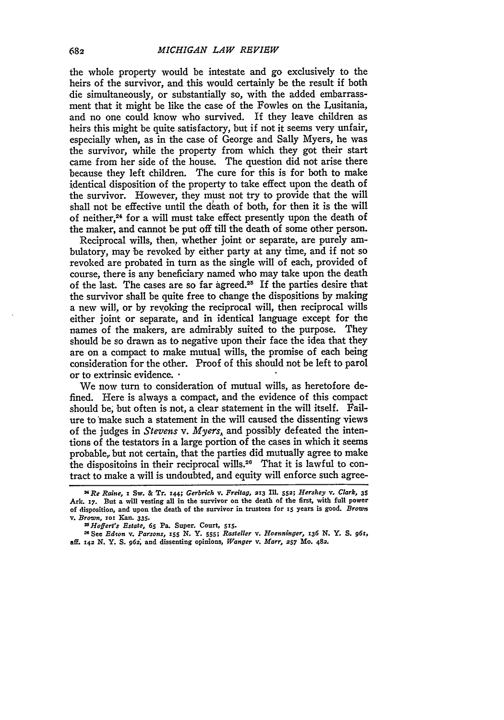the whole property would be intestate and go exclusively to the heirs of the survivor, and this would certainly be the result if both die simultaneously, or substantially so, with the added embarrassment that it might be like the case of the Fowles on the Lusitania, and no one could know who survived. If they leave children as heirs this might be quite satisfactory, but if not it seems very unfair, especially when, as in the case of George and Sally Myers, he was the survivor, while the property from which they got their start came from her side of the house. The question did not arise there because they left children. The cure for this is for both to make identical disposition of the property to take effect upon the death of the survivor. However, they must not try to provide that the will shall not be effective until the death of both, for then it is the will of neither,24 for a will must take effect presently upon the death of the maker, and cannot be put off till the death of some other person.

Reciprocal wills, then, whether joint or separate, are purely ambulatory, may be revoked by either party at any time, and if not so revoked are probated in turn as the single will of each, provided of course, there is any beneficiary named who may take upon the death of the last. The cases are so far agreed.<sup>25</sup> If the parties desire that the survivor shall be quite free to change the dispositions by making a new will, or by revoking the reciprocal will, then reciprocal wills either joint or separate, and in identical language except for the names of the makers, are admirably suited to the purpose. They should be so drawn as to negative upon their face the idea that they are on a compact to make mutual wills, the promise of each being consideration for the other. Proof of this should not be left to parol or to extrinsic evidence.

We now turn to consideration of mutual wills, as heretofore defined. Here is always a compact, and the evidence of this compact should be, but often is not, a clear statement in the will itself. Failure to make such a statement in the will caused the dissenting views of the judges in Stevens *v. Myers,* and possibly defeated the intentions of the testators in a large portion of the cases in which it seems probable, but not certain, that the parties did mutually agree to make the dispositoins in their reciprocal wills.<sup>26</sup> That it is lawful to contract to make a will is undoubted, and equity will enforce such agree-

*<sup>&</sup>quot; Re Raine, x Sw.* **& Tr.** T44; *Gerbrich v. Freitag, 213* **Ili. 552;** *Hershey v. Clark, 35* Ark. 17. But a will vesting all in the survivor on the death of the first, with full power **of** disposition, **and upon the death of the survivor in trustees for 15 years** is **good.** *Brown* **v.** *Brown,* **zoi Kan. 335.**

*wHoffert's Estate, 65* **Pa. Super. Court, 5'5.**

**<sup>6</sup>See** *Edcon v. Parsons,* **x55 N. Y. 555;** *Rasteller v. Hoennlnger, zs6 N. Y. S. 96r, at.* **142** *N.* **Y. S.** *962;* **and dissenting opinions,** *Wanger v. Marr, 257* **Mo. 482.**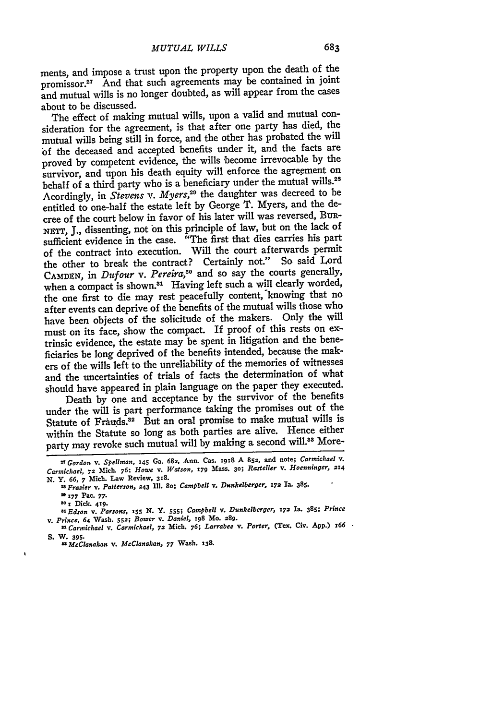ments, and impose a trust upon the property upon the death of the promissor.<sup>27</sup> And that such agreements may be contained in joint and mutual wills is no longer doubted, as will appear from the cases about to be discussed.

The effect of making mutual wills, upon a valid and mutual consideration for the agreement, is that after one party has died, the mutual wills being still in force, and the other has probated the will **bf** the deceased and accepted benefits under it, and the facts are proved by competent evidence, the wills become irrevocable by the survivor, and upon his death equity will enforce the agreement on behalf of a third party who is a beneficiary under the mutual wills.<sup>28</sup> Acordingly, in Stevens v. Myers,<sup>20</sup> the daughter was decreed to be entitled to one-half the estate left by George T. Myers, and the decree of the court below in favor of his later will was reversed, BUR-**NxTT, J.,** dissenting, not on this principle of law, but on the lack of sufficient evidence in the case. "The first that dies carries his part of the contract into execution. Will the court afterwards permit the other to break the contract? Certainly not." So said Lord CAMDEN, in *Dufour v. Pereira*,<sup>30</sup> and so say the courts generally, when a compact is shown.<sup>31</sup> Having left such a will clearly worded, the one first to die may rest peacefully content, knowing that no after events can deprive of the benefits of the mutual wills those who have been objects of the solicitude of the makers. Only the will must on its face, show the compact. If proof of this rests on extrinsic evidence, the estate may be spent in litigation and the beneficiaries be long deprived of the benefits intended, because the makers of the wills left to the unreliability of the memories of witnesses and the uncertainties of trials of facts the determination of what should have appeared in plain language on the paper they executed.

Death by one and acceptance by the survivor of the benefits under the will is part performance taking the promises out of the Statute of Frauds.<sup>32</sup> But an oral promise to make mutual wills is within the Statute so long as both parties are alive. Hence either party may revoke such mutual will by making a second will.<sup>33</sup> More-

 $\mathbf{r}$ 

*<sup>21</sup>Gordon v. Spellman,* **145 Ga. 682, Ann.** Cas. **i9i8** A **852, and note;** *Carmichael v. Carmichael,* **72** Mich. *76: Howe v. Watson, x79* Mass. **30;** *Rasteller v. Hoenninger, 2z4* **N. Y.** *66,* **7 Mich. Law Review, 38.**

*<sup>2</sup> Frazier v. Patterson,* **243 ll.** *80; Campbell v. Dmnkelberger,* **172 Ia. 385.**

**<sup>&</sup>quot;** *x77* **Par.** *77.*

**<sup>30</sup>x Dick. 419.**

*<sup>n</sup>Edson v. Parsons, zs5 N.* **Y. S55;** *Campbell v. Dunkelberger, 172* **Ia. 385;** *Prince v. Prince,* **64 Wash. 552;** *Bower v. Daniel,* **x98 Mo. 289.**

*<sup>32</sup> Carmichael v. Carmichael,* **7a Mich.** *76; Larrabee v. Porter,* **(Tex. Civ. App.)** *<sup>166</sup>* **S. W. 395.**

*<sup>=</sup>McClanahan v. McClanahan, 77* **Wash. 238.**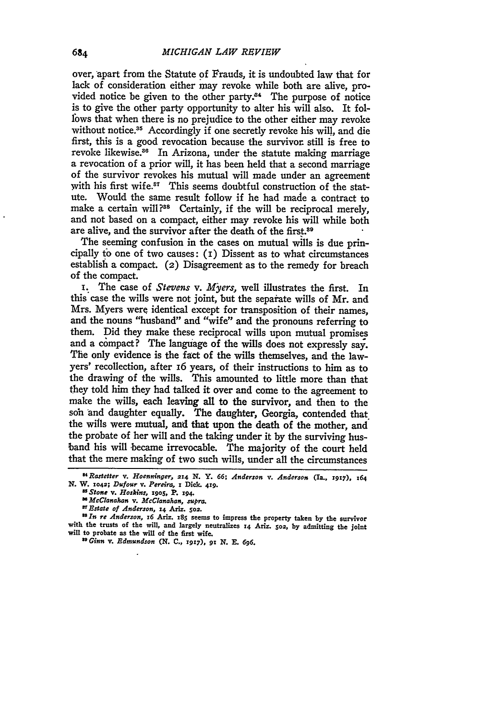over, apart from the Statute **of** Frauds, it is undoubted law that for lack of consideration either may revoke while both are alive, provided notice be given to the other party.<sup>84</sup> The purpose of notice is to give the other party opportunity to alter his will also. It follows that when there is no prejudice to the other either may revoke without notice.<sup>35</sup> Accordingly if one secretly revoke his will, and die first, this is a good revocation because the survivor, still is free to revoke likewise.<sup>36</sup> In Arizona, under the statute making marriage a revocation of a prior will, it has been held that a second marriage of the survivor revokes his mutual will made under an agreement with his first wife.<sup>87</sup> This seems doubtful construction of the statute. Would the same result follow if he had made a contract to make a certain will?<sup>38</sup> Certainly, if the will be reciprocal merely, and not based on a compact, either may revoke his will while both are alive, and the survivor after the death of the first.<sup>39</sup>

The seeming confusion in the cases on mutual wills is due principally to one of two causes: **(i)** Dissent as to what circumstances establish a compact. **(2)** Disagreement as to the remedy for breach of the compact.

**i.** The case of Stevens *v. Myers,* well illustrates the first. In this case the wills were not joint, but the separate wills of Mr. and Mrs. Myers were identical except for transposition of their names, and the nouns "husband" and "wife" and the pronouns referring to them. Did they make these reciprocal wills upon mutual promises and a compact? The language of the wills does not expressly say. The only evidence is the fact of the wills themselves, and the lawyers' recollection, after **I6** years, of their instructions to him as to the drawing of the wills. This amounted to little more than that they told him they had talked it over and come to the agreement to make the wills, each leaving all to the survivor, and then to the son and daughter equally. The daughter, Georgia, contended that the wills were mutual, and that upon the death of the mother, and' the probate of her will and the taking under it by the surviving husband his will became irrevocable. The majority of the court held that the mere making of two such wills, under all the circumstances

*<sup>8</sup> 4 Rastetter v. Hoennnger, 214* **N. Y.** *66; Anderson v. Anderson* **(Ia., 9x7), x64** *N.* **W. 1042;** *Dufour v. Pereira, i* **Dick. 419.**

*<sup>&</sup>quot;s Stone v. Hoskns,* **x9oS, P. 194.**

*<sup>&#</sup>x27;McClanahan v.* **McClanahan, jupra.**

*<sup>.&#</sup>x27; Estate of Anderson,* **14 Ariz. 502.**

*I In re Anderson, r6* **Ariz. x85 seems to impress the property taken by the survivor with the trusts of the will, and largely neutralizes 14 Ariz. 502, by admitting the joint** will **to probate as the will of** the **first wife.**

*Is* **Ginn** *v. Edmundson* **(N. C., 1917), 91 X.** *E. 696.*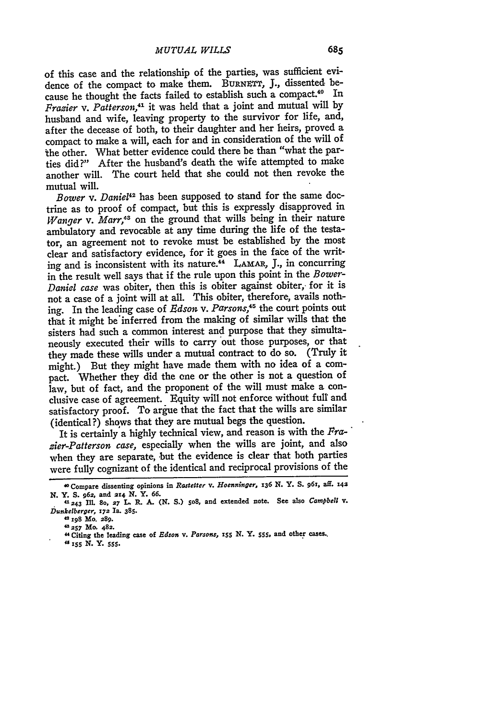of this case and the relationship of the parties, was sufficient evidence of the compact to make them. BURNETT, J., dissented because he thought the facts failed to establish such a compact.40 In *Frazier v. Patterson,41* it was held that a joint and mutual will by husband and wife, leaving property to the survivor for life, and, after the decease of both, to their daughter and her heirs, proved a compact to make a will, each for and in consideration of the will of ihe other. What better evidence could there be than "what the parties did?" After the husband's death the wife attempted to make another will. The court held that she could not then revoke the mutual will.

*Bower v. Daniel42* has been supposed to stand for the same doctrine as to proof of compact, but this is expressly disapproved in Wanger v. Marr,<sup>48</sup> on the ground that wills being in their nature ambulatory and revocable at any time during the life of the testator, an agreement not to revoke must be established by the most clear and satisfactory evidence, for it goes in the face of the writing and is inconsistent with its nature.<sup>44</sup> LAMAR, J., in concurring in the result well says that if the rule upon this point in the *Bower-Daniel case* was obiter, then this is obiter against obiter, for it is not a case of a joint will at all. This obiter, therefore, avails nothing. In the leading case of *Edson v. Parsons,45* the court points out that it might be'inferred from the making of similar wills that the sisters had such a common interest and purpose that they simultaneously executed their wills to carry out those purposes, or that they made these wills under a mutual contract to do so. (Truly it might.) But they might have made them with no idea of a compact. Whether they did the one or the other is not a question of law, but of fact, and the proponent of the will must make a conclusive case of agreement. Equity will not enforce without full' and satisfactory proof. To argue that the fact that the wills are similar (identical?) shows that they are mutual begs the question.

It is certainly a highly technical view, and reason is with the *Frazier-Patterson case,* especially when the wills are joint, and also when they are separate, but the evidence is clear that both parties were fully cognizant of the identical and reciprocal provisions of the

*1* **555 N. Y. 555.**

<sup>0</sup> **Compare dissenting opinions in** *Rastelter v. Hoenninger, 136* **N. Y. S. 961, aff. 142**

**N. Y. S. 962, and 2z4 N. Y. 66.** <sup>41243</sup>**I. 80, 27 L, R. A. (N. S.) 5o8, and extended note. See also** *Campbell v. Dunkelberger,* **172** *Ia.* **385.**

**<sup>42198</sup> Mo. 289.**

**<sup>4257</sup> Mo. 482.**

**<sup>4</sup>Citing the leading case of** *Edson v. Parmons,* **255** *N.* **Y.** *55s,* **and other cases..**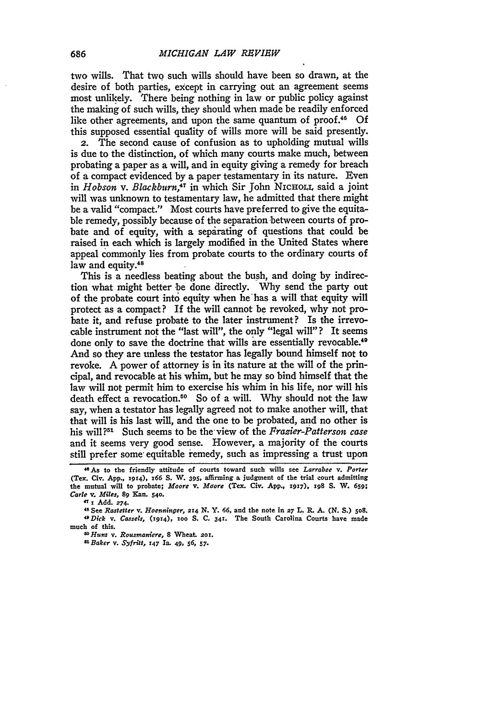two wills. That two such wills should have been so drawn, at the desire of both parties, except in carrying out an agreement seems most unlikely. There being nothing in law or public policy against the making of such wills, they should when made be readily enforced like other agreements, and upon the same quantum of proof.<sup>46</sup> Of this supposed essential quality of wills more will be said presently.

2. The second cause of confusion as to upholding mutual wills is due to the distinction, of which many courts make much, between probating a paper as a will, and in equity giving a remedy for breach of a compact evidenced by a paper testamentary in its nature. Even in *Hobson v. Blackburn,47* in which Sir John NIcHoLI, said a joint will was unknown to testamentary law, he admitted that there might be a valid "compact." Most courts have preferred to give the equitable remedy, possibly because of the separation between courts of probate and of equity, with a separating of questions that could be raised in each which is largely modified in the United States where appeal commonly lies from probate courts to the ordinary courts of law and equity.<sup>48</sup>

This is a needless beating about the bush, and doing by indirection what might better be done directly. Why send the party out of the probate court into equity when he has a will that equity will protect as a compact? If the will cannot be revoked, why not probate it, and refuse probate to the later instrument? Is the irrevocable instrument not the "last will", the only "legal will"? It seems done only to save the doctrine that wills are essentially revocable.<sup>49</sup> And so they are unless the testator has legally bound himself not to revoke. A power of attorney is in its nature at the will of the principal, and revocable at his whim, but he may so bind himself that the law will not permit him to exercise his whim in his life, nor will his death effect a revocation.<sup>50</sup> So of a will. Why should not the law say, when a testator has legally agreed not to make another will, that that will is his last will, and the one to be probated, and no other is his will?51 Such seems to be the'view of the *Frazier-Patterson* case and it seems very good sense. However, a majority of the courts still prefer some equitable remedy, such as impressing a trust upon

**<sup>&#</sup>x27;sAs to the friendly attitude of courts toward such wills see** *Larrabee v. Porter* **(Tex.** Civ. **App., 1914),** *r66* **S. W. 395, affirming a judgment of the trial court admitting the mutual** will **to probate;** *Moore v. MOore* **(Tex. Civ. App., 1917), x98 S. W. 659;** *Carle v. Miles, 89* **Kan. 540.**

**<sup>4</sup>T Add. 274.**

**<sup>1</sup>** Is See *Rastetter v. Hoenninger, 214 N. Y. 66, and the note in <i>27 L. R. A. (N. S.)* 508. *"Dick v. Cassels,* **(1914), 100** *S.* **C. 34r. The South Carolina Courts have made much of this.**

*<sup>30</sup>Huns* **v.** *Rousmaniere,* **8 Wheat. 2o.**

*<sup>&</sup>quot;Baker v. Syfritt, z47* **la. 49,** *56, 57.*